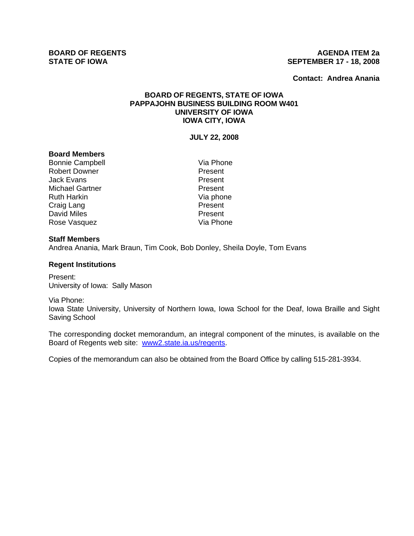### **BOARD OF REGENTS AGENUS AGENDA ITEM 2a STATE OF IOWA SEPTEMBER 17 - 18, 2008**

**Contact: Andrea Anania**

# **BOARD OF REGENTS, STATE OF IOWA PAPPAJOHN BUSINESS BUILDING ROOM W401 UNIVERSITY OF IOWA IOWA CITY, IOWA**

## **JULY 22, 2008**

### **Board Members**

Bonnie Campbell Via Phone Robert Downer **Robert Downer** Present<br>
Jack Evans Jack Evans Michael Gartner **Present** Ruth Harkin Via phone Craig Lang **Present** David Miles **Present** Rose Vasquez **Via Phone** 

### **Staff Members**

Andrea Anania, Mark Braun, Tim Cook, Bob Donley, Sheila Doyle, Tom Evans

### **Regent Institutions**

Present: University of Iowa: Sally Mason

#### Via Phone:

Iowa State University, University of Northern Iowa, Iowa School for the Deaf, Iowa Braille and Sight Saving School

The corresponding docket memorandum, an integral component of the minutes, is available on the Board of Regents web site: www2.state.ia.us/regents.

Copies of the memorandum can also be obtained from the Board Office by calling 515-281-3934.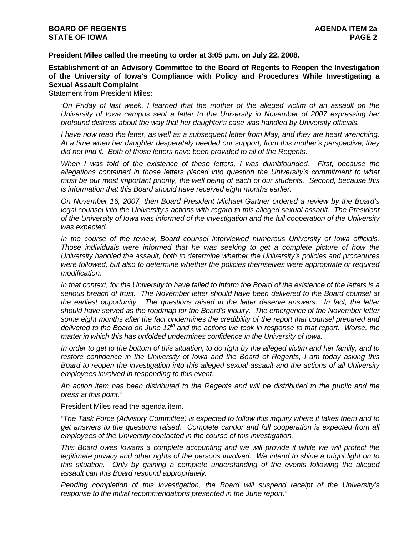**President Miles called the meeting to order at 3:05 p.m. on July 22, 2008.** 

**Establishment of an Advisory Committee to the Board of Regents to Reopen the Investigation of the University of Iowa's Compliance with Policy and Procedures While Investigating a Sexual Assault Complaint** 

Statement from President Miles:

*'On Friday of last week, I learned that the mother of the alleged victim of an assault on the University of Iowa campus sent a letter to the University in November of 2007 expressing her profound distress about the way that her daughter's case was handled by University officials.* 

*I have now read the letter, as well as a subsequent letter from May, and they are heart wrenching. At a time when her daughter desperately needed our support, from this mother's perspective, they did not find it. Both of those letters have been provided to all of the Regents.* 

*When I was told of the existence of these letters, I was dumbfounded. First, because the allegations contained in those letters placed into question the University's commitment to what must be our most important priority, the well being of each of our students. Second, because this is information that this Board should have received eight months earlier.* 

*On November 16, 2007, then Board President Michael Gartner ordered a review by the Board's*  legal counsel into the University's actions with regard to this alleged sexual assault. The President *of the University of Iowa was informed of the investigation and the full cooperation of the University was expected.* 

*In the course of the review, Board counsel interviewed numerous University of Iowa officials. Those individuals were informed that he was seeking to get a complete picture of how the University handled the assault, both to determine whether the University's policies and procedures were followed, but also to determine whether the policies themselves were appropriate or required modification.* 

*In that context, for the University to have failed to inform the Board of the existence of the letters is a serious breach of trust. The November letter should have been delivered to the Board counsel at the earliest opportunity. The questions raised in the letter deserve answers. In fact, the letter should have served as the roadmap for the Board's inquiry. The emergence of the November letter some eight months after the fact undermines the credibility of the report that counsel prepared and*  delivered to the Board on June 12<sup>th</sup> and the actions we took in response to that report. Worse, the *matter in which this has unfolded undermines confidence in the University of Iowa.* 

*In order to get to the bottom of this situation, to do right by the alleged victim and her family, and to restore confidence in the University of Iowa and the Board of Regents, I am today asking this Board to reopen the investigation into this alleged sexual assault and the actions of all University employees involved in responding to this event.* 

*An action item has been distributed to the Regents and will be distributed to the public and the press at this point."* 

President Miles read the agenda item.

*"The Task Force (Advisory Committee) is expected to follow this inquiry where it takes them and to get answers to the questions raised. Complete candor and full cooperation is expected from all employees of the University contacted in the course of this investigation.* 

*This Board owes Iowans a complete accounting and we will provide it while we will protect the legitimate privacy and other rights of the persons involved. We intend to shine a bright light on to this situation. Only by gaining a complete understanding of the events following the alleged assault can this Board respond appropriately.* 

*Pending completion of this investigation, the Board will suspend receipt of the University's response to the initial recommendations presented in the June report."*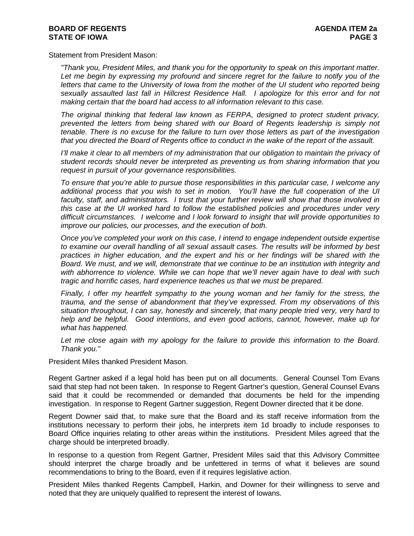Statement from President Mason:

*"Thank you, President Miles, and thank you for the opportunity to speak on this important matter.*  Let me begin by expressing my profound and sincere regret for the failure to notify you of the *letters that came to the University of Iowa from the mother of the UI student who reported being sexually assaulted last fall in Hillcrest Residence Hall. I apologize for this error and for not making certain that the board had access to all information relevant to this case.* 

*The original thinking that federal law known as FERPA, designed to protect student privacy, prevented the letters from being shared with our Board of Regents leadership is simply not tenable. There is no excuse for the failure to turn over those letters as part of the investigation that you directed the Board of Regents office to conduct in the wake of the report of the assault.* 

*I'll make it clear to all members of my administration that our obligation to maintain the privacy of student records should never be interpreted as preventing us from sharing information that you request in pursuit of your governance responsibilities.* 

*To ensure that you're able to pursue those responsibilities in this particular case, I welcome any additional process that you wish to set in motion. You'll have the full cooperation of the UI faculty, staff, and administrators. I trust that your further review will show that those involved in this case at the UI worked hard to follow the established policies and procedures under very difficult circumstances. I welcome and I look forward to insight that will provide opportunities to improve our policies, our processes, and the execution of both.* 

*Once you've completed your work on this case, I intend to engage independent outside expertise to examine our overall handling of all sexual assault cases. The results will be informed by best practices in higher education, and the expert and his or her findings will be shared with the Board. We must, and we will, demonstrate that we continue to be an institution with integrity and with abhorrence to violence. While we can hope that we'll never again have to deal with such tragic and horrific cases, hard experience teaches us that we must be prepared.* 

*Finally, I offer my heartfelt sympathy to the young woman and her family for the stress, the trauma, and the sense of abandonment that they've expressed. From my observations of this situation throughout, I can say, honestly and sincerely, that many people tried very, very hard to help and be helpful. Good intentions, and even good actions, cannot, however, make up for what has happened.* 

Let me close again with my apology for the failure to provide this information to the Board. *Thank you."* 

President Miles thanked President Mason.

Regent Gartner asked if a legal hold has been put on all documents. General Counsel Tom Evans said that step had not been taken. In response to Regent Gartner's question, General Counsel Evans said that it could be recommended or demanded that documents be held for the impending investigation. In response to Regent Gartner suggestion, Regent Downer directed that it be done.

Regent Downer said that, to make sure that the Board and its staff receive information from the institutions necessary to perform their jobs, he interprets item 1d broadly to include responses to Board Office inquiries relating to other areas within the institutions. President Miles agreed that the charge should be interpreted broadly.

In response to a question from Regent Gartner, President Miles said that this Advisory Committee should interpret the charge broadly and be unfettered in terms of what it believes are sound recommendations to bring to the Board, even if it requires legislative action.

President Miles thanked Regents Campbell, Harkin, and Downer for their willingness to serve and noted that they are uniquely qualified to represent the interest of Iowans.